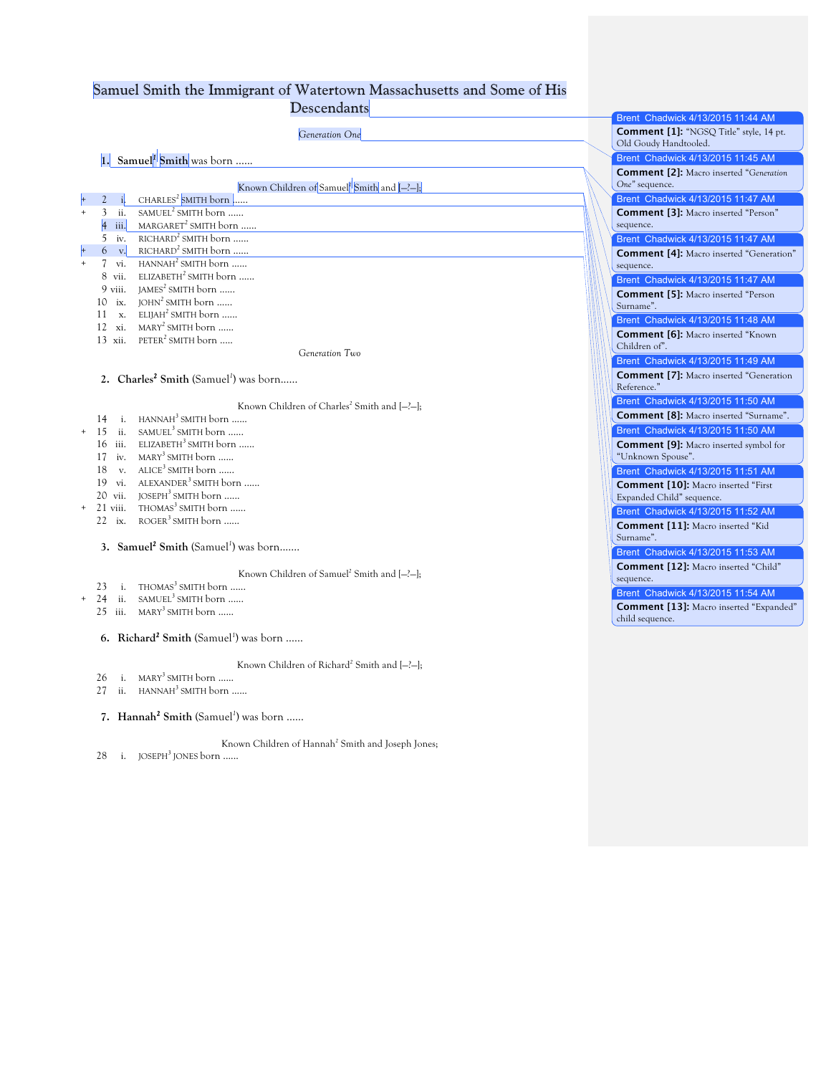## Samuel Smith the Immigrant of Watertown Massachusetts and Some of His

**Descendants** 

|                                                               | Brent Chadwick 4/13/2015 11:44 AM                                       |
|---------------------------------------------------------------|-------------------------------------------------------------------------|
| Generation One                                                | <b>Comment [1]:</b> "NGSQ Title" style, 14 pt.<br>Old Goudy Handtooled. |
| $\vert$ 1. Samuel <sup>l</sup> Smith was born                 | Brent Chadwick 4/13/2015 11:45 AM                                       |
|                                                               | <b>Comment [2]:</b> Macro inserted "Generation                          |
| Known Children of Samuel <sup>1</sup> Smith and [-?-];        | One" sequence.                                                          |
| CHARLES <sup>2</sup> SMITH born $\ldots$                      | Brent Chadwick 4/13/2015 11:47 AM                                       |
| SAMUEL <sup>2</sup> SMITH born<br>3 ii.                       | <b>Comment [3]:</b> Macro inserted "Person"                             |
| MARGARET <sup>2</sup> SMITH born<br>iii.                      | sequence.                                                               |
| $RICHARD2 SMITH$ born<br>5<br>iv.                             | Brent Chadwick 4/13/2015 11:47 AM                                       |
| $RICHARD2 SMITH$ born<br>$\mathbf{v}$ .<br>6                  | <b>Comment [4]:</b> Macro inserted "Generation"                         |
| $HANNAH2 SMITH$ born<br>vi.<br>7                              | sequence.                                                               |
| ELIZABETH <sup>2</sup> SMITH born<br>8 vii.                   | Brent Chadwick 4/13/2015 11:47 AM                                       |
| $IAMES2 SMITH born$<br>9 viii.                                | <b>Comment [5]:</b> Macro inserted "Person                              |
| $JOHN2 SMITH born$<br>10<br>ix.                               | Surname".                                                               |
| ELIJAH <sup>2</sup> SMITH born<br>$\mathbf{x}$<br>11          | Brent Chadwick 4/13/2015 11:48 AM                                       |
| 12 xi.<br>$MARY2$ SMITH born                                  | <b>Comment [6]:</b> Macro inserted "Known                               |
| $PETER2$ SMITH born<br>$13$ xii.                              | Children of".                                                           |
| Generation Two                                                | Brent Chadwick 4/13/2015 11:49 AM                                       |
|                                                               | <b>Comment [7]:</b> Macro inserted "Generation                          |
| 2. Charles <sup>2</sup> Smith (Samuel <sup>1</sup> ) was born | Reference."                                                             |
| Known Children of Charles <sup>2</sup> Smith and $[-?+]$ ;    | Brent Chadwick 4/13/2015 11:50 AM                                       |
| HANNAH <sup>3</sup> SMITH born<br>14<br>i.                    | <b>Comment [8]:</b> Macro inserted "Surname".                           |
| SAMUEL <sup>3</sup> SMITH born<br>15<br>ii.                   | Brent Chadwick 4/13/2015 11:50 AM                                       |
| ELIZABETH <sup>3</sup> SMITH born<br>16 iii.                  | <b>Comment [9]:</b> Macro inserted symbol for                           |
| MARY <sup>3</sup> SMITH born<br>iv.<br>17                     | "Unknown Spouse".                                                       |
| $ALICE3$ SMITH born<br>$V_{\star}$<br>18                      | Brent Chadwick 4/13/2015 11:51 AM                                       |
| ALEXANDER <sup>3</sup> SMITH born<br>vi.<br>19                | <b>Comment [10]:</b> Macro inserted "First                              |
| JOSEPH <sup>3</sup> SMITH born<br>20 vii.                     | Expanded Child" sequence.                                               |
| THOMAS <sup>3</sup> SMITH born<br>21 viii.                    | Brent Chadwick 4/13/2015 11:52 AM                                       |
| $ROGER3 SMITH born$<br>$22$ ix.                               | Comment [11]: Macro inserted "Kid                                       |
|                                                               | Surname".                                                               |
| 3. Samuel <sup>2</sup> Smith (Samuel <sup>1</sup> ) was born  | Brent Chadwick 4/13/2015 11:53 AM                                       |
|                                                               | Comment [12]: Macro inserted "Child"                                    |
| Known Children of Samuel <sup>2</sup> Smith and [-?-];        | sequence.                                                               |
| THOMAS <sup>3</sup> SMITH born<br>$\mathbf{i}$ .<br>23        | Brent Chadwick 4/13/2015 11:54 AM                                       |
| SAMUEL <sup>3</sup> SMITH born<br>24<br>ii.                   | <b>Comment [13]:</b> Macro inserted "Expanded"                          |
| $MARY3$ SMITH born<br>$25$ iii.                               | child sequence.                                                         |
| 6. Richard <sup>2</sup> Smith (Samuel <sup>1</sup> ) was born |                                                                         |
| Known Children of Richard <sup>2</sup> Smith and [-?-];       |                                                                         |
| $MARY3$ SMITH born<br>$i$ .<br>26                             |                                                                         |
| $HANNAH3 SMITH$ born<br>27<br>ii.                             |                                                                         |
| 7. Hannah <sup>2</sup> Smith (Samuel <sup>1</sup> ) was born  |                                                                         |
| Known Children of Hannah <sup>2</sup> Smith and Joseph Jones; |                                                                         |
| i. JOSEPH <sup>3</sup> JONES born<br>28                       |                                                                         |
|                                                               |                                                                         |